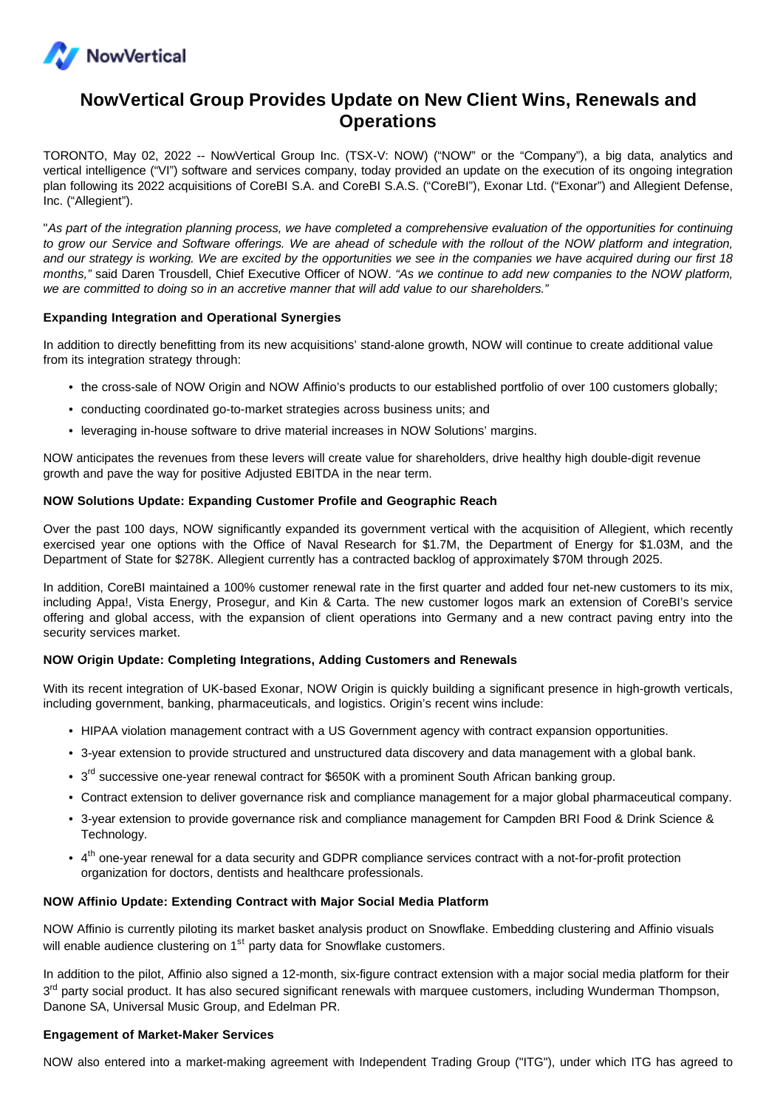

# **NowVertical Group Provides Update on New Client Wins, Renewals and Operations**

TORONTO, May 02, 2022 -- NowVertical Group Inc. (TSX-V: NOW) ("NOW" or the "Company"), a big data, analytics and vertical intelligence ("VI") software and services company, today provided an update on the execution of its ongoing integration plan following its 2022 acquisitions of CoreBI S.A. and CoreBI S.A.S. ("CoreBI"), Exonar Ltd. ("Exonar") and Allegient Defense, Inc. ("Allegient").

"As part of the integration planning process, we have completed a comprehensive evaluation of the opportunities for continuing to grow our Service and Software offerings. We are ahead of schedule with the rollout of the NOW platform and integration, and our strategy is working. We are excited by the opportunities we see in the companies we have acquired during our first 18 months," said Daren Trousdell, Chief Executive Officer of NOW. "As we continue to add new companies to the NOW platform, we are committed to doing so in an accretive manner that will add value to our shareholders."

### **Expanding Integration and Operational Synergies**

In addition to directly benefitting from its new acquisitions' stand-alone growth, NOW will continue to create additional value from its integration strategy through:

- the cross-sale of NOW Origin and NOW Affinio's products to our established portfolio of over 100 customers globally;
- conducting coordinated go-to-market strategies across business units; and
- leveraging in-house software to drive material increases in NOW Solutions' margins.

NOW anticipates the revenues from these levers will create value for shareholders, drive healthy high double-digit revenue growth and pave the way for positive Adjusted EBITDA in the near term.

## **NOW Solutions Update: Expanding Customer Profile and Geographic Reach**

Over the past 100 days, NOW significantly expanded its government vertical with the acquisition of Allegient, which recently exercised year one options with the Office of Naval Research for \$1.7M, the Department of Energy for \$1.03M, and the Department of State for \$278K. Allegient currently has a contracted backlog of approximately \$70M through 2025.

In addition, CoreBI maintained a 100% customer renewal rate in the first quarter and added four net-new customers to its mix, including Appa!, Vista Energy, Prosegur, and Kin & Carta. The new customer logos mark an extension of CoreBI's service offering and global access, with the expansion of client operations into Germany and a new contract paving entry into the security services market.

### **NOW Origin Update: Completing Integrations, Adding Customers and Renewals**

With its recent integration of UK-based Exonar, NOW Origin is quickly building a significant presence in high-growth verticals, including government, banking, pharmaceuticals, and logistics. Origin's recent wins include:

- HIPAA violation management contract with a US Government agency with contract expansion opportunities.
- 3-year extension to provide structured and unstructured data discovery and data management with a global bank.
- 3<sup>rd</sup> successive one-year renewal contract for \$650K with a prominent South African banking group.
- Contract extension to deliver governance risk and compliance management for a major global pharmaceutical company.
- 3-year extension to provide governance risk and compliance management for Campden BRI Food & Drink Science & Technology.
- 4<sup>th</sup> one-year renewal for a data security and GDPR compliance services contract with a not-for-profit protection organization for doctors, dentists and healthcare professionals.

### **NOW Affinio Update: Extending Contract with Major Social Media Platform**

NOW Affinio is currently piloting its market basket analysis product on Snowflake. Embedding clustering and Affinio visuals will enable audience clustering on 1<sup>st</sup> party data for Snowflake customers.

In addition to the pilot, Affinio also signed a 12-month, six-figure contract extension with a major social media platform for their 3<sup>rd</sup> party social product. It has also secured significant renewals with marquee customers, including Wunderman Thompson, Danone SA, Universal Music Group, and Edelman PR.

### **Engagement of Market-Maker Services**

NOW also entered into a market-making agreement with Independent Trading Group ("ITG"), under which ITG has agreed to